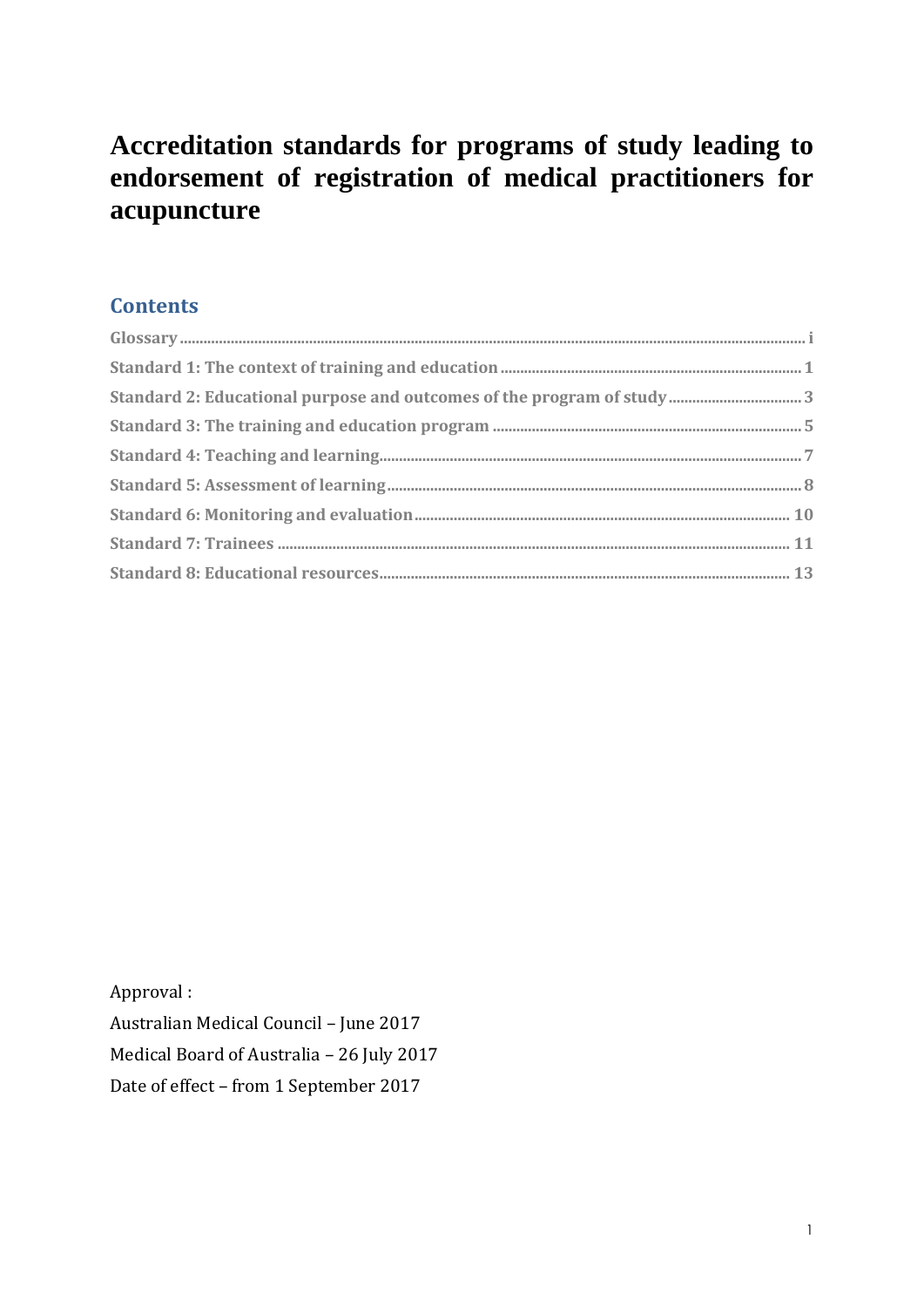# **Accreditation standards for programs of study leading to endorsement of registration of medical practitioners for acupuncture**

# **Contents**

Approval : Australian Medical Council – June 2017 Medical Board of Australia – 26 July 2017 Date of effect – from 1 September 2017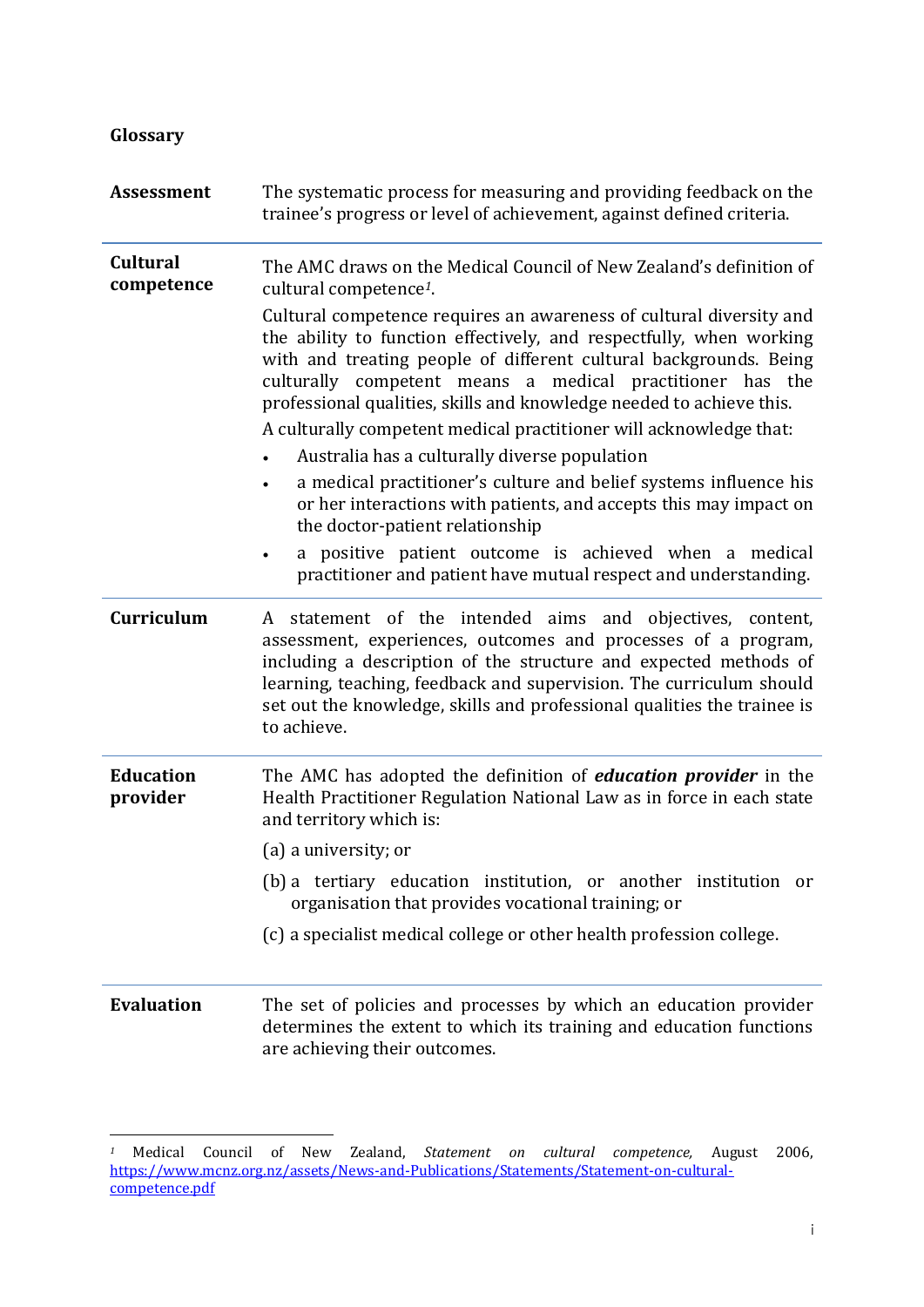<span id="page-1-0"></span>

| Glossary                      |                                                                                                                                                                                                                                                                                                                                                                                                                                                                                                                                                                                                                                                                       |
|-------------------------------|-----------------------------------------------------------------------------------------------------------------------------------------------------------------------------------------------------------------------------------------------------------------------------------------------------------------------------------------------------------------------------------------------------------------------------------------------------------------------------------------------------------------------------------------------------------------------------------------------------------------------------------------------------------------------|
| <b>Assessment</b>             | The systematic process for measuring and providing feedback on the<br>trainee's progress or level of achievement, against defined criteria.                                                                                                                                                                                                                                                                                                                                                                                                                                                                                                                           |
| <b>Cultural</b><br>competence | The AMC draws on the Medical Council of New Zealand's definition of<br>cultural competence <sup>1</sup> .                                                                                                                                                                                                                                                                                                                                                                                                                                                                                                                                                             |
|                               | Cultural competence requires an awareness of cultural diversity and<br>the ability to function effectively, and respectfully, when working<br>with and treating people of different cultural backgrounds. Being<br>culturally competent means a medical practitioner has the<br>professional qualities, skills and knowledge needed to achieve this.<br>A culturally competent medical practitioner will acknowledge that:<br>Australia has a culturally diverse population<br>a medical practitioner's culture and belief systems influence his<br>$\bullet$<br>or her interactions with patients, and accepts this may impact on<br>the doctor-patient relationship |
|                               | a positive patient outcome is achieved when a medical<br>$\bullet$<br>practitioner and patient have mutual respect and understanding.                                                                                                                                                                                                                                                                                                                                                                                                                                                                                                                                 |
| <b>Curriculum</b>             | statement of the intended aims and objectives, content,<br>A<br>assessment, experiences, outcomes and processes of a program,<br>including a description of the structure and expected methods of<br>learning, teaching, feedback and supervision. The curriculum should<br>set out the knowledge, skills and professional qualities the trainee is<br>to achieve.                                                                                                                                                                                                                                                                                                    |
| <b>Education</b><br>provider  | The AMC has adopted the definition of <i>education provider</i> in the<br>Health Practitioner Regulation National Law as in force in each state<br>and territory which is:                                                                                                                                                                                                                                                                                                                                                                                                                                                                                            |
|                               | (a) a university; or                                                                                                                                                                                                                                                                                                                                                                                                                                                                                                                                                                                                                                                  |
|                               | (b) a tertiary education institution, or another institution or<br>organisation that provides vocational training; or                                                                                                                                                                                                                                                                                                                                                                                                                                                                                                                                                 |
|                               | (c) a specialist medical college or other health profession college.                                                                                                                                                                                                                                                                                                                                                                                                                                                                                                                                                                                                  |
| <b>Evaluation</b>             | The set of policies and processes by which an education provider<br>determines the extent to which its training and education functions<br>are achieving their outcomes.                                                                                                                                                                                                                                                                                                                                                                                                                                                                                              |

 $\overline{a}$ 

*<sup>1</sup>* Medical Council of New Zealand, *Statement on cultural competence,* August 2006, [https://www.mcnz.org.nz/assets/News-and-Publications/Statements/Statement-on-cultural](https://www.mcnz.org.nz/assets/News-and-Publications/Statements/Statement-on-cultural-competence.pdf)[competence.pdf](https://www.mcnz.org.nz/assets/News-and-Publications/Statements/Statement-on-cultural-competence.pdf)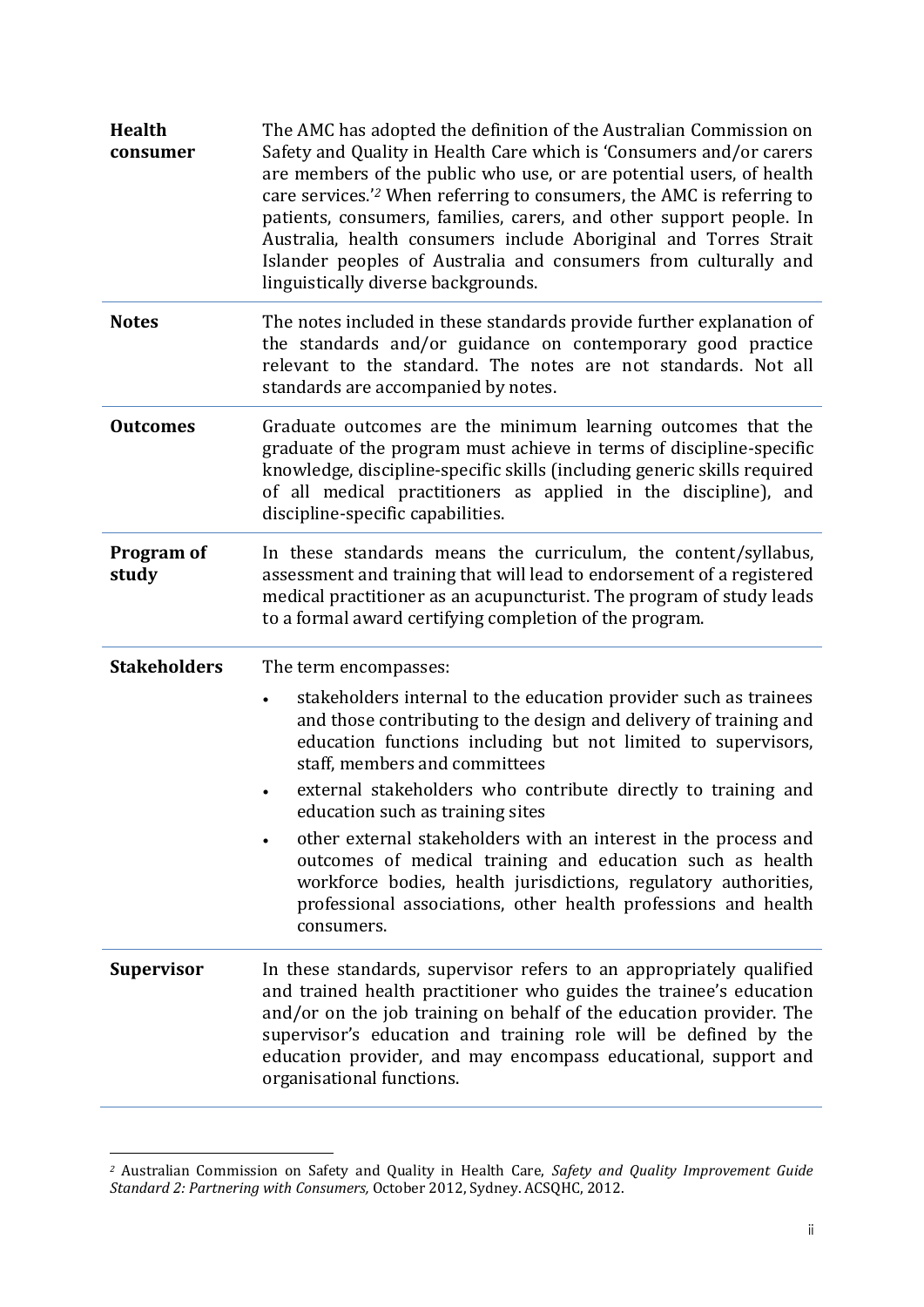| <b>Health</b><br>consumer  | The AMC has adopted the definition of the Australian Commission on<br>Safety and Quality in Health Care which is 'Consumers and/or carers<br>are members of the public who use, or are potential users, of health<br>care services. <sup>2</sup> When referring to consumers, the AMC is referring to<br>patients, consumers, families, carers, and other support people. In<br>Australia, health consumers include Aboriginal and Torres Strait<br>Islander peoples of Australia and consumers from culturally and<br>linguistically diverse backgrounds. |
|----------------------------|------------------------------------------------------------------------------------------------------------------------------------------------------------------------------------------------------------------------------------------------------------------------------------------------------------------------------------------------------------------------------------------------------------------------------------------------------------------------------------------------------------------------------------------------------------|
| <b>Notes</b>               | The notes included in these standards provide further explanation of<br>the standards and/or guidance on contemporary good practice<br>relevant to the standard. The notes are not standards. Not all<br>standards are accompanied by notes.                                                                                                                                                                                                                                                                                                               |
| <b>Outcomes</b>            | Graduate outcomes are the minimum learning outcomes that the<br>graduate of the program must achieve in terms of discipline-specific<br>knowledge, discipline-specific skills (including generic skills required<br>of all medical practitioners as applied in the discipline), and<br>discipline-specific capabilities.                                                                                                                                                                                                                                   |
| <b>Program of</b><br>study | In these standards means the curriculum, the content/syllabus,<br>assessment and training that will lead to endorsement of a registered<br>medical practitioner as an acupuncturist. The program of study leads<br>to a formal award certifying completion of the program.                                                                                                                                                                                                                                                                                 |
| <b>Stakeholders</b>        | The term encompasses:                                                                                                                                                                                                                                                                                                                                                                                                                                                                                                                                      |
|                            | stakeholders internal to the education provider such as trainees<br>$\bullet$<br>and those contributing to the design and delivery of training and<br>education functions including but not limited to supervisors,<br>staff, members and committees                                                                                                                                                                                                                                                                                                       |
|                            | external stakeholders who contribute directly to training and<br>$\bullet$<br>education such as training sites                                                                                                                                                                                                                                                                                                                                                                                                                                             |
|                            | other external stakeholders with an interest in the process and<br>$\bullet$<br>outcomes of medical training and education such as health<br>workforce bodies, health jurisdictions, regulatory authorities,<br>professional associations, other health professions and health<br>consumers.                                                                                                                                                                                                                                                               |
| <b>Supervisor</b>          | In these standards, supervisor refers to an appropriately qualified<br>and trained health practitioner who guides the trainee's education<br>and/or on the job training on behalf of the education provider. The<br>supervisor's education and training role will be defined by the<br>education provider, and may encompass educational, support and<br>organisational functions.                                                                                                                                                                         |

*<sup>2</sup>* Australian Commission on Safety and Quality in Health Care, *Safety and Quality Improvement Guide Standard 2: Partnering with Consumers,* October 2012, Sydney. ACSQHC, 2012.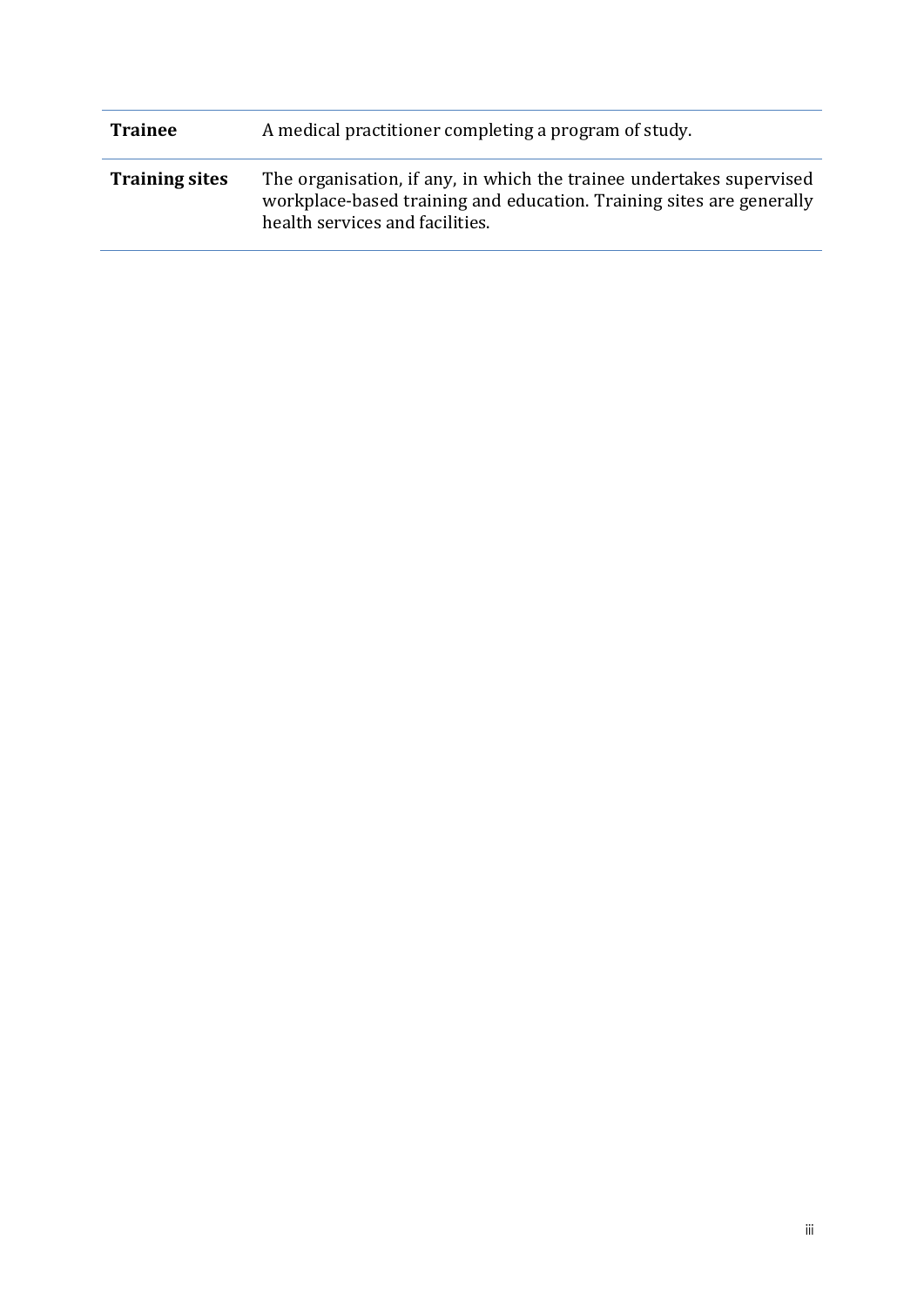| <b>Trainee</b>        | A medical practitioner completing a program of study.                                                                                                                           |
|-----------------------|---------------------------------------------------------------------------------------------------------------------------------------------------------------------------------|
| <b>Training sites</b> | The organisation, if any, in which the trainee undertakes supervised<br>workplace-based training and education. Training sites are generally<br>health services and facilities. |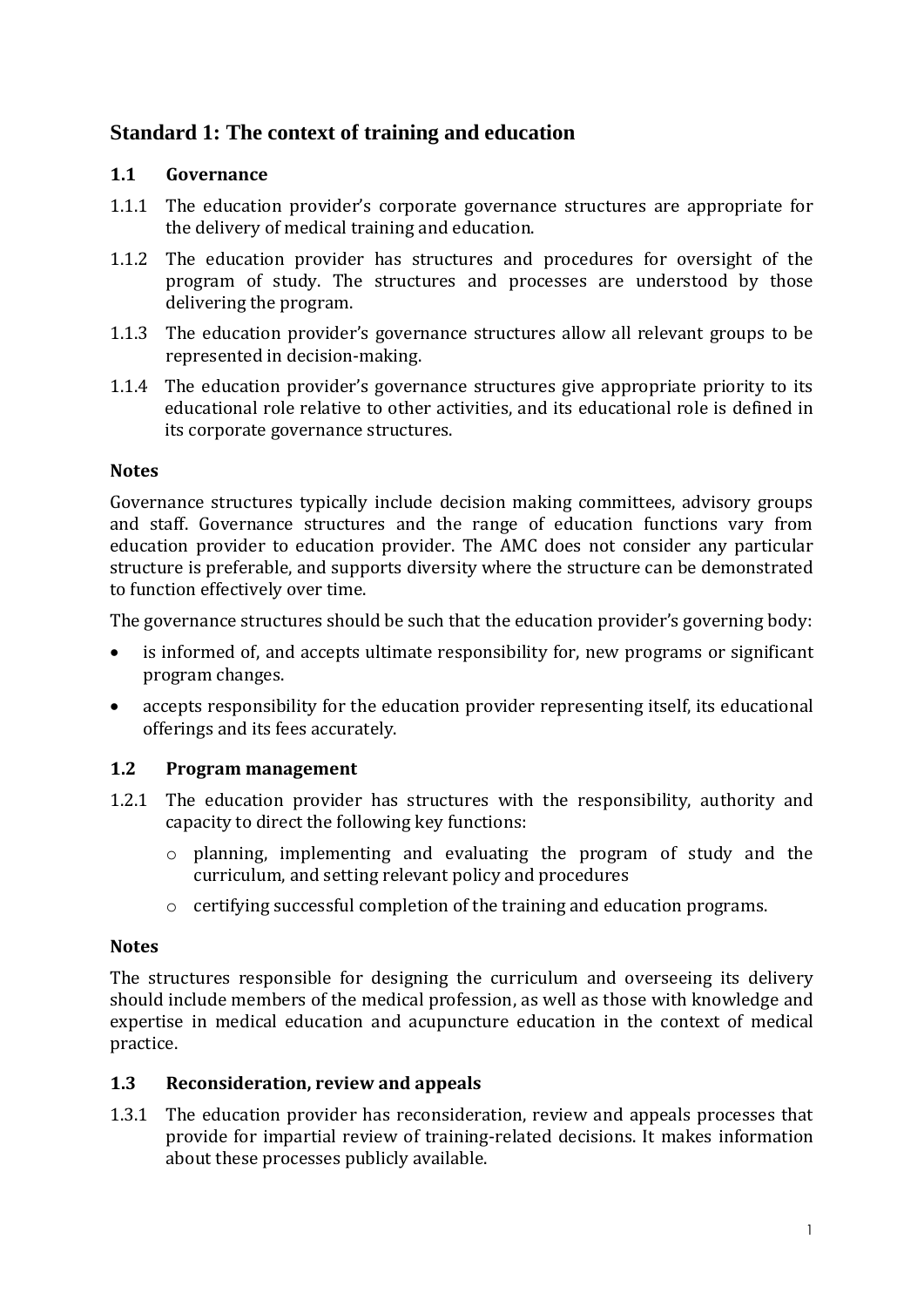# <span id="page-4-0"></span>**Standard 1: The context of training and education**

#### **1.1 Governance**

- 1.1.1 The education provider's corporate governance structures are appropriate for the delivery of medical training and education.
- 1.1.2 The education provider has structures and procedures for oversight of the program of study. The structures and processes are understood by those delivering the program.
- 1.1.3 The education provider's governance structures allow all relevant groups to be represented in decision-making.
- 1.1.4 The education provider's governance structures give appropriate priority to its educational role relative to other activities, and its educational role is defined in its corporate governance structures.

#### **Notes**

Governance structures typically include decision making committees, advisory groups and staff. Governance structures and the range of education functions vary from education provider to education provider. The AMC does not consider any particular structure is preferable, and supports diversity where the structure can be demonstrated to function effectively over time.

The governance structures should be such that the education provider's governing body:

- is informed of, and accepts ultimate responsibility for, new programs or significant program changes.
- accepts responsibility for the education provider representing itself, its educational offerings and its fees accurately.

#### **1.2 Program management**

- 1.2.1 The education provider has structures with the responsibility, authority and capacity to direct the following key functions:
	- o planning, implementing and evaluating the program of study and the curriculum, and setting relevant policy and procedures
	- o certifying successful completion of the training and education programs.

#### **Notes**

The structures responsible for designing the curriculum and overseeing its delivery should include members of the medical profession, as well as those with knowledge and expertise in medical education and acupuncture education in the context of medical practice.

#### **1.3 Reconsideration, review and appeals**

1.3.1 The education provider has reconsideration, review and appeals processes that provide for impartial review of training-related decisions. It makes information about these processes publicly available.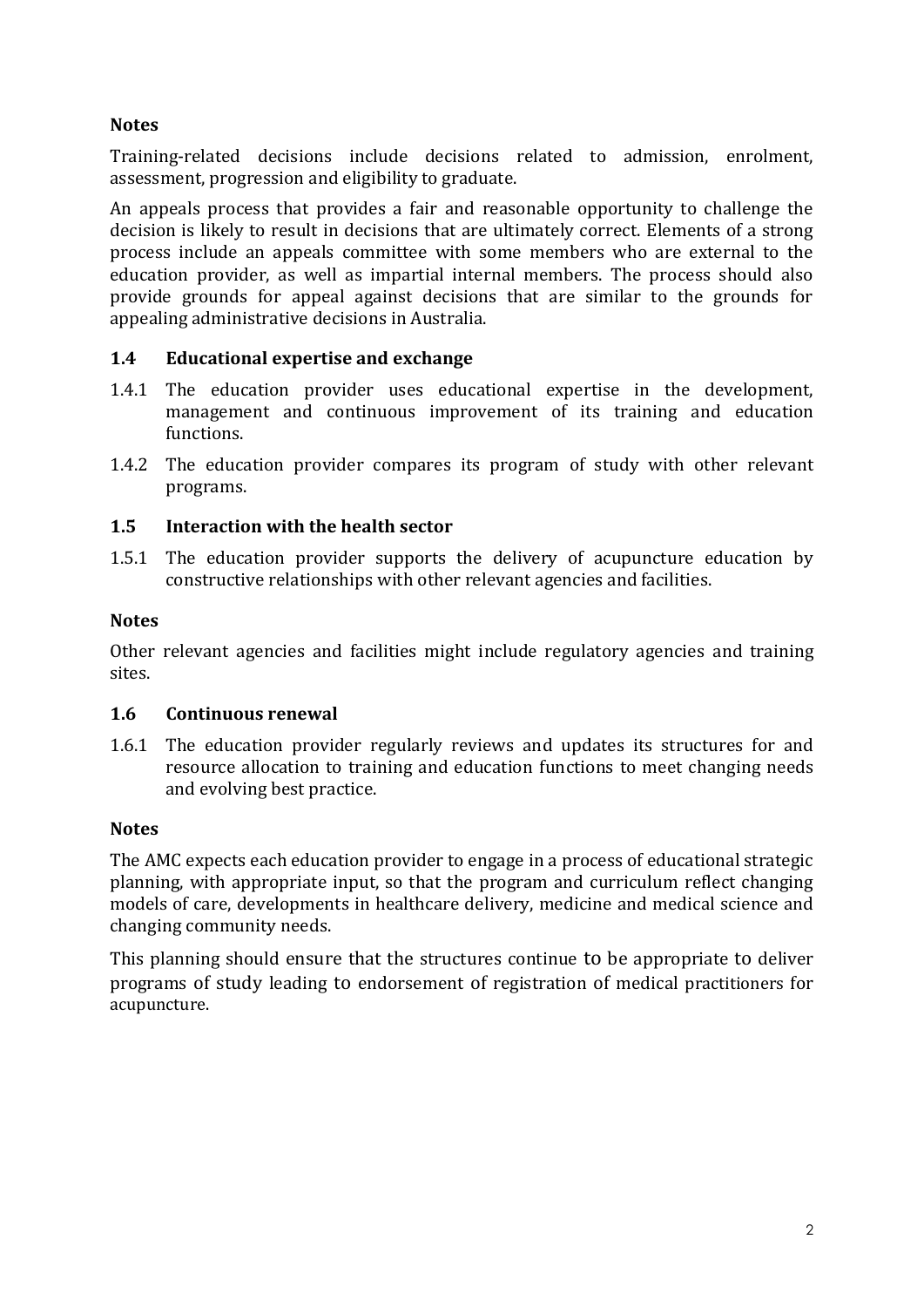# **Notes**

Training-related decisions include decisions related to admission, enrolment, assessment, progression and eligibility to graduate.

An appeals process that provides a fair and reasonable opportunity to challenge the decision is likely to result in decisions that are ultimately correct. Elements of a strong process include an appeals committee with some members who are external to the education provider, as well as impartial internal members. The process should also provide grounds for appeal against decisions that are similar to the grounds for appealing administrative decisions in Australia.

## **1.4 Educational expertise and exchange**

- 1.4.1 The education provider uses educational expertise in the development, management and continuous improvement of its training and education functions.
- 1.4.2 The education provider compares its program of study with other relevant programs.

#### **1.5 Interaction with the health sector**

1.5.1 The education provider supports the delivery of acupuncture education by constructive relationships with other relevant agencies and facilities.

#### **Notes**

Other relevant agencies and facilities might include regulatory agencies and training sites.

#### **1.6 Continuous renewal**

1.6.1 The education provider regularly reviews and updates its structures for and resource allocation to training and education functions to meet changing needs and evolving best practice.

#### **Notes**

The AMC expects each education provider to engage in a process of educational strategic planning, with appropriate input, so that the program and curriculum reflect changing models of care, developments in healthcare delivery, medicine and medical science and changing community needs.

This planning should ensure that the structures continue to be appropriate to deliver programs of study leading to endorsement of registration of medical practitioners for acupuncture.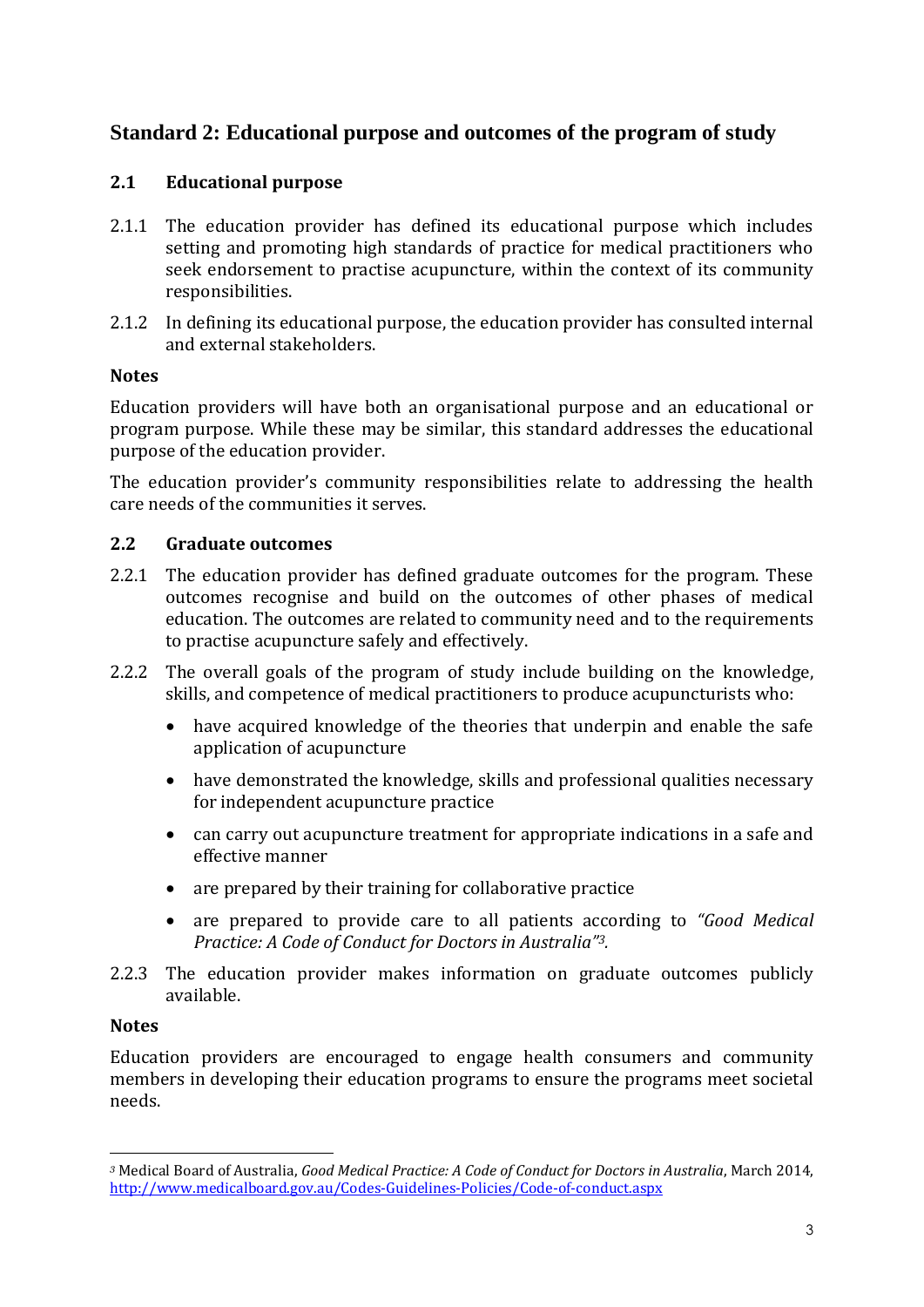# <span id="page-6-0"></span>**Standard 2: Educational purpose and outcomes of the program of study**

#### **2.1 Educational purpose**

- 2.1.1 The education provider has defined its educational purpose which includes setting and promoting high standards of practice for medical practitioners who seek endorsement to practise acupuncture, within the context of its community responsibilities.
- 2.1.2 In defining its educational purpose, the education provider has consulted internal and external stakeholders.

#### **Notes**

Education providers will have both an organisational purpose and an educational or program purpose. While these may be similar, this standard addresses the educational purpose of the education provider.

The education provider's community responsibilities relate to addressing the health care needs of the communities it serves.

#### **2.2 Graduate outcomes**

- 2.2.1 The education provider has defined graduate outcomes for the program. These outcomes recognise and build on the outcomes of other phases of medical education. The outcomes are related to community need and to the requirements to practise acupuncture safely and effectively.
- 2.2.2 The overall goals of the program of study include building on the knowledge, skills, and competence of medical practitioners to produce acupuncturists who:
	- have acquired knowledge of the theories that underpin and enable the safe application of acupuncture
	- have demonstrated the knowledge, skills and professional qualities necessary for independent acupuncture practice
	- can carry out acupuncture treatment for appropriate indications in a safe and effective manner
	- are prepared by their training for collaborative practice
	- are prepared to provide care to all patients according to *"Good Medical Practice: A Code of Conduct for Doctors in Australia"3.*
- 2.2.3 The education provider makes information on graduate outcomes publicly available.

#### **Notes**

Education providers are encouraged to engage health consumers and community members in developing their education programs to ensure the programs meet societal needs.

*<sup>3</sup>* Medical Board of Australia, *Good Medical Practice: A Code of Conduct for Doctors in Australia*, March 2014, <http://www.medicalboard.gov.au/Codes-Guidelines-Policies/Code-of-conduct.aspx>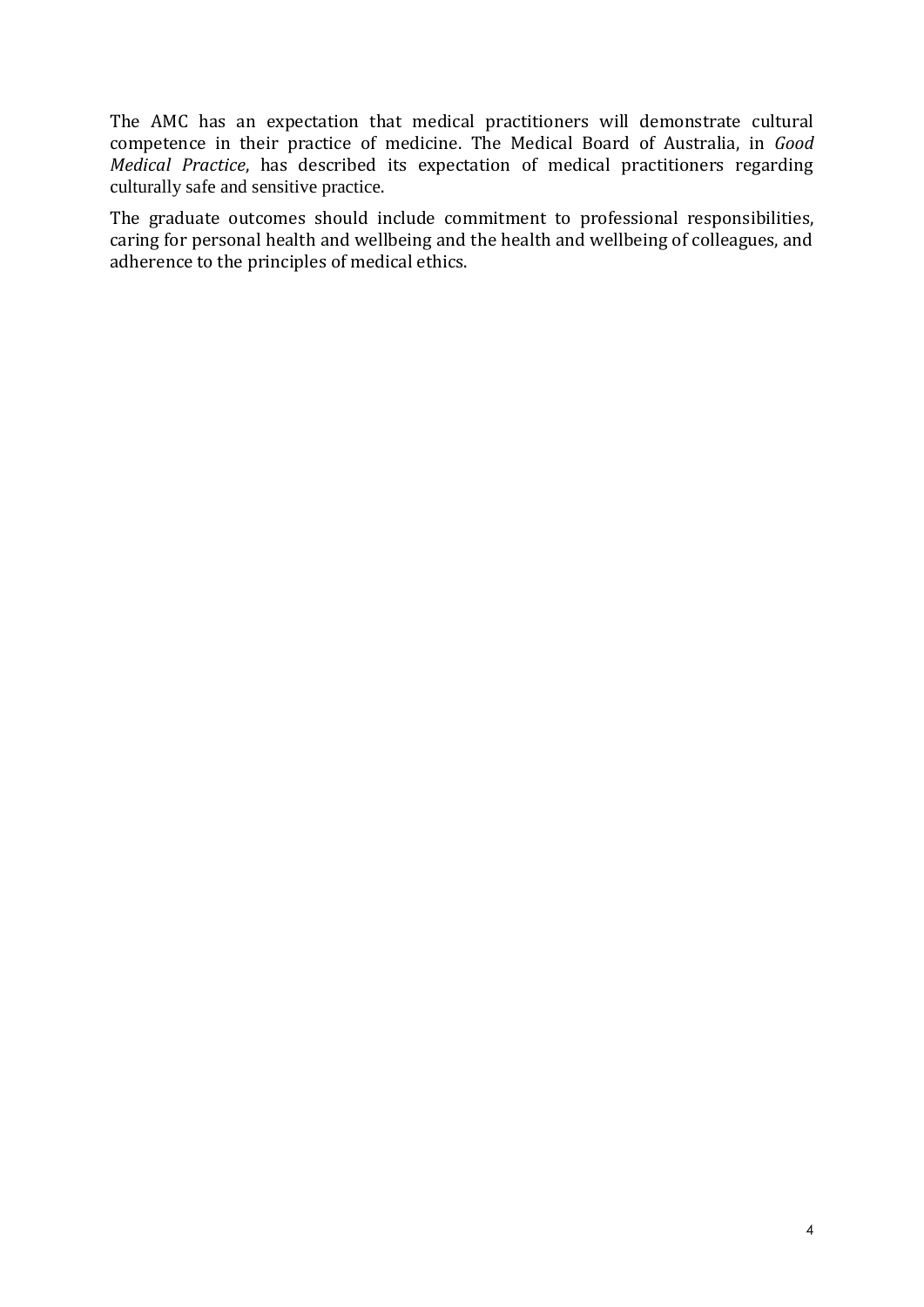The AMC has an expectation that medical practitioners will demonstrate cultural competence in their practice of medicine. The Medical Board of Australia, in *Good Medical Practice*, has described its expectation of medical practitioners regarding culturally safe and sensitive practice.

The graduate outcomes should include commitment to professional responsibilities, caring for personal health and wellbeing and the health and wellbeing of colleagues, and adherence to the principles of medical ethics.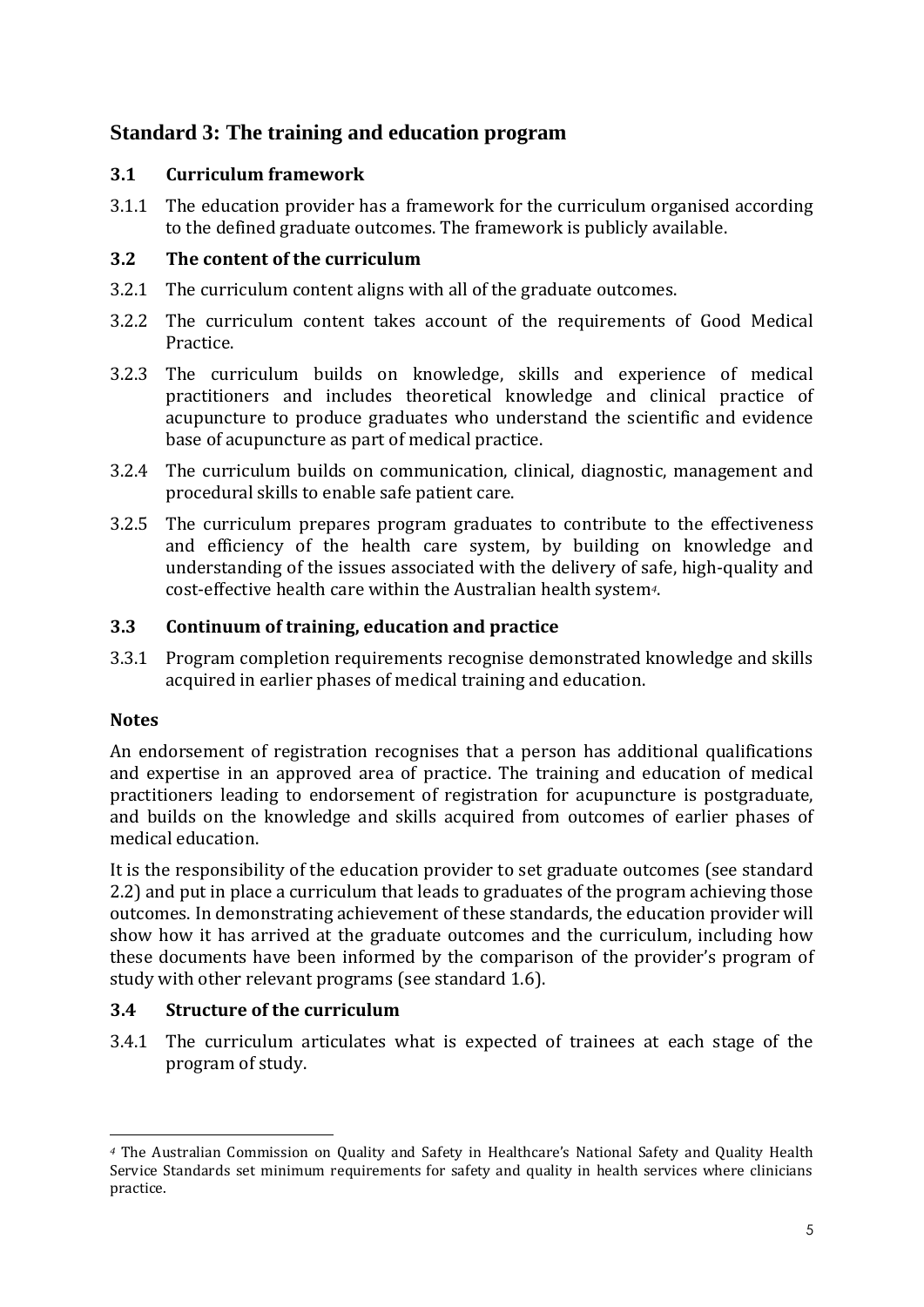# <span id="page-8-0"></span>**Standard 3: The training and education program**

## **3.1 Curriculum framework**

3.1.1 The education provider has a framework for the curriculum organised according to the defined graduate outcomes. The framework is publicly available.

# **3.2 The content of the curriculum**

- 3.2.1 The curriculum content aligns with all of the graduate outcomes.
- 3.2.2 The curriculum content takes account of the requirements of Good Medical Practice.
- 3.2.3 The curriculum builds on knowledge, skills and experience of medical practitioners and includes theoretical knowledge and clinical practice of acupuncture to produce graduates who understand the scientific and evidence base of acupuncture as part of medical practice.
- 3.2.4 The curriculum builds on communication, clinical, diagnostic, management and procedural skills to enable safe patient care.
- 3.2.5 The curriculum prepares program graduates to contribute to the effectiveness and efficiency of the health care system, by building on knowledge and understanding of the issues associated with the delivery of safe, high-quality and cost-effective health care within the Australian health system*4*.

# **3.3 Continuum of training, education and practice**

3.3.1 Program completion requirements recognise demonstrated knowledge and skills acquired in earlier phases of medical training and education.

# **Notes**

An endorsement of registration recognises that a person has additional qualifications and expertise in an approved area of practice. The training and education of medical practitioners leading to endorsement of registration for acupuncture is postgraduate, and builds on the knowledge and skills acquired from outcomes of earlier phases of medical education.

It is the responsibility of the education provider to set graduate outcomes (see standard 2.2) and put in place a curriculum that leads to graduates of the program achieving those outcomes. In demonstrating achievement of these standards, the education provider will show how it has arrived at the graduate outcomes and the curriculum, including how these documents have been informed by the comparison of the provider's program of study with other relevant programs (see standard 1.6).

# **3.4 Structure of the curriculum**

3.4.1 The curriculum articulates what is expected of trainees at each stage of the program of study.

 $\overline{a}$ *<sup>4</sup>* The Australian Commission on Quality and Safety in Healthcare's National Safety and Quality Health Service Standards set minimum requirements for safety and quality in health services where clinicians practice.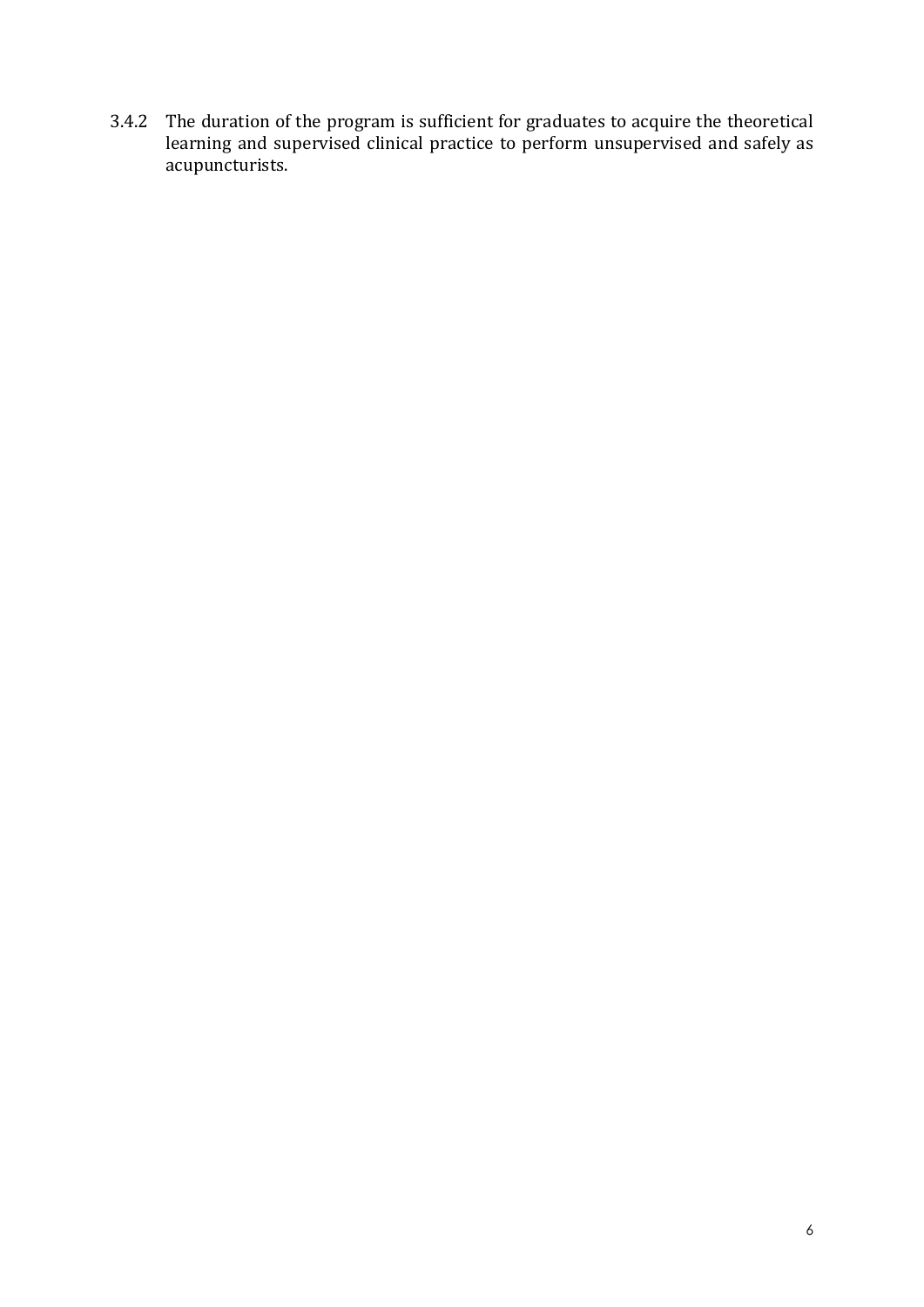3.4.2 The duration of the program is sufficient for graduates to acquire the theoretical learning and supervised clinical practice to perform unsupervised and safely as acupuncturists.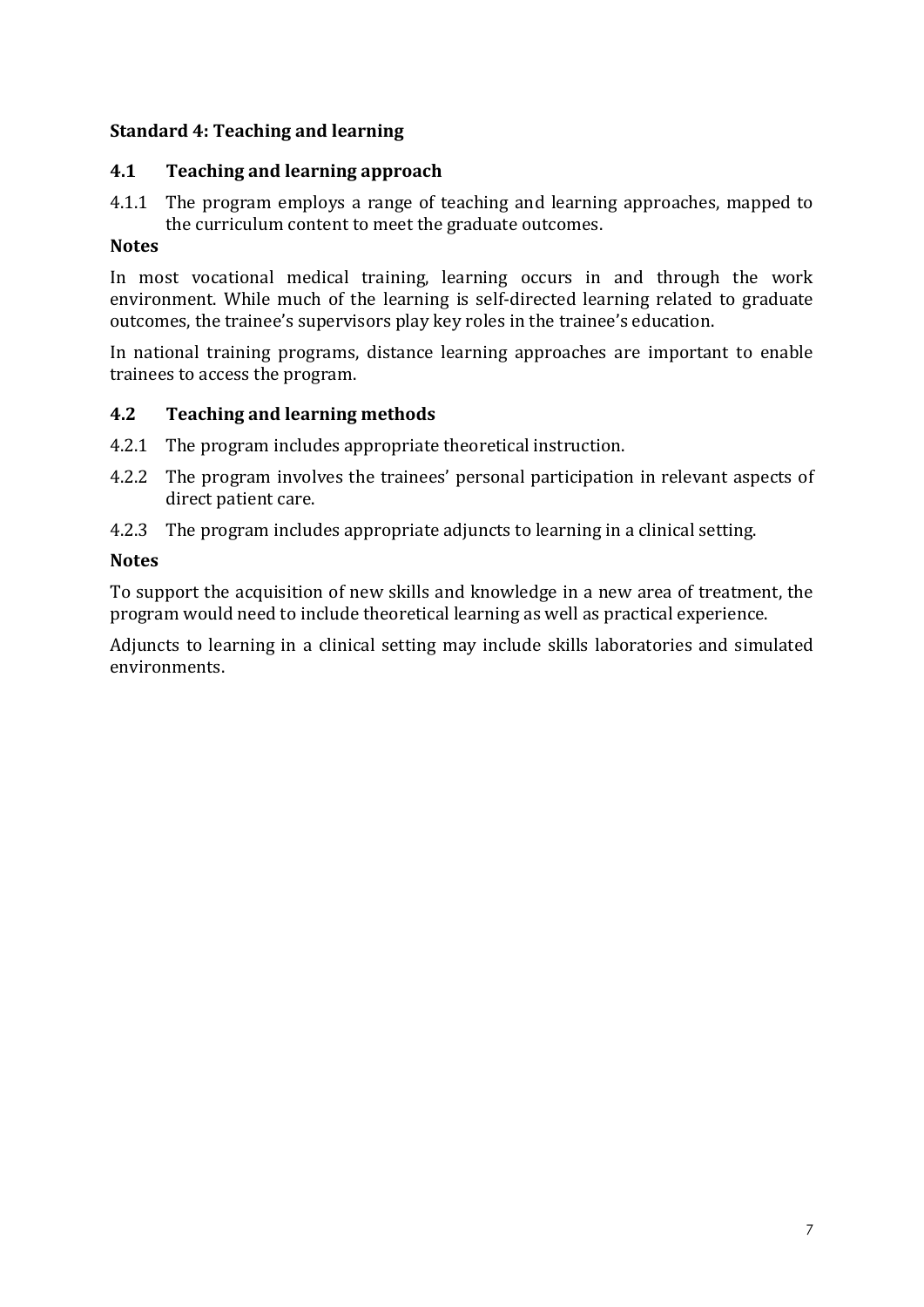## <span id="page-10-0"></span>**Standard 4: Teaching and learning**

# **4.1 Teaching and learning approach**

4.1.1 The program employs a range of teaching and learning approaches, mapped to the curriculum content to meet the graduate outcomes.

#### **Notes**

In most vocational medical training, learning occurs in and through the work environment. While much of the learning is self-directed learning related to graduate outcomes, the trainee's supervisors play key roles in the trainee's education.

In national training programs, distance learning approaches are important to enable trainees to access the program.

## **4.2 Teaching and learning methods**

- 4.2.1 The program includes appropriate theoretical instruction.
- 4.2.2 The program involves the trainees' personal participation in relevant aspects of direct patient care.
- 4.2.3 The program includes appropriate adjuncts to learning in a clinical setting.

#### **Notes**

To support the acquisition of new skills and knowledge in a new area of treatment, the program would need to include theoretical learning as well as practical experience.

Adjuncts to learning in a clinical setting may include skills laboratories and simulated environments.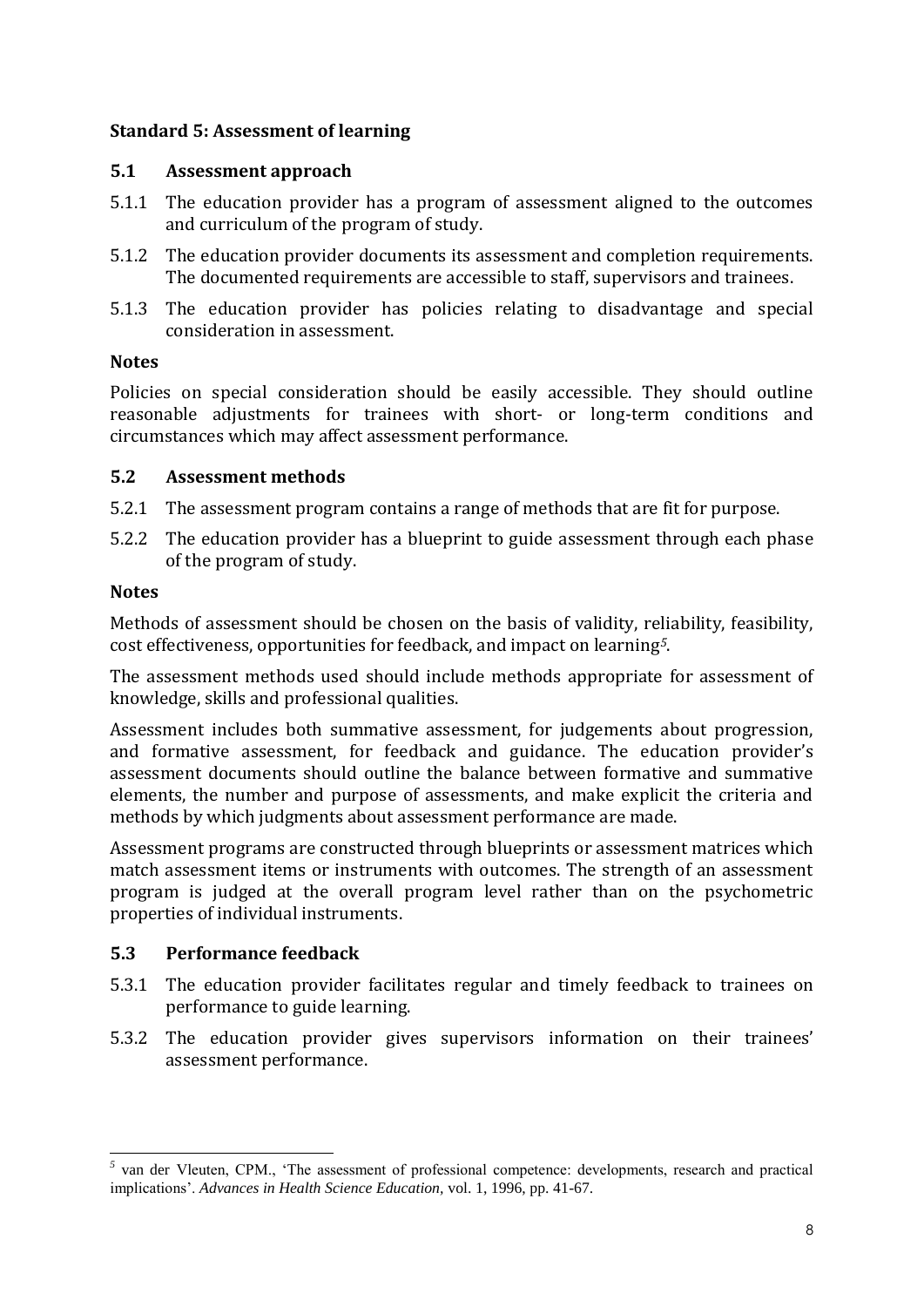## <span id="page-11-0"></span>**Standard 5: Assessment of learning**

# **5.1 Assessment approach**

- 5.1.1 The education provider has a program of assessment aligned to the outcomes and curriculum of the program of study.
- 5.1.2 The education provider documents its assessment and completion requirements. The documented requirements are accessible to staff, supervisors and trainees.
- 5.1.3 The education provider has policies relating to disadvantage and special consideration in assessment.

## **Notes**

Policies on special consideration should be easily accessible. They should outline reasonable adjustments for trainees with short- or long-term conditions and circumstances which may affect assessment performance.

# **5.2 Assessment methods**

- 5.2.1 The assessment program contains a range of methods that are fit for purpose.
- 5.2.2 The education provider has a blueprint to guide assessment through each phase of the program of study.

# **Notes**

Methods of assessment should be chosen on the basis of validity, reliability, feasibility, cost effectiveness, opportunities for feedback, and impact on learning*5*.

The assessment methods used should include methods appropriate for assessment of knowledge, skills and professional qualities.

Assessment includes both summative assessment, for judgements about progression, and formative assessment, for feedback and guidance. The education provider's assessment documents should outline the balance between formative and summative elements, the number and purpose of assessments, and make explicit the criteria and methods by which judgments about assessment performance are made.

Assessment programs are constructed through blueprints or assessment matrices which match assessment items or instruments with outcomes. The strength of an assessment program is judged at the overall program level rather than on the psychometric properties of individual instruments.

# **5.3 Performance feedback**

- 5.3.1 The education provider facilitates regular and timely feedback to trainees on performance to guide learning.
- 5.3.2 The education provider gives supervisors information on their trainees' assessment performance.

<sup>&</sup>lt;sup>5</sup> van der Vleuten, CPM., 'The assessment of professional competence: developments, research and practical implications'. *Advances in Health Science Education,* vol. 1, 1996, pp. 41-67.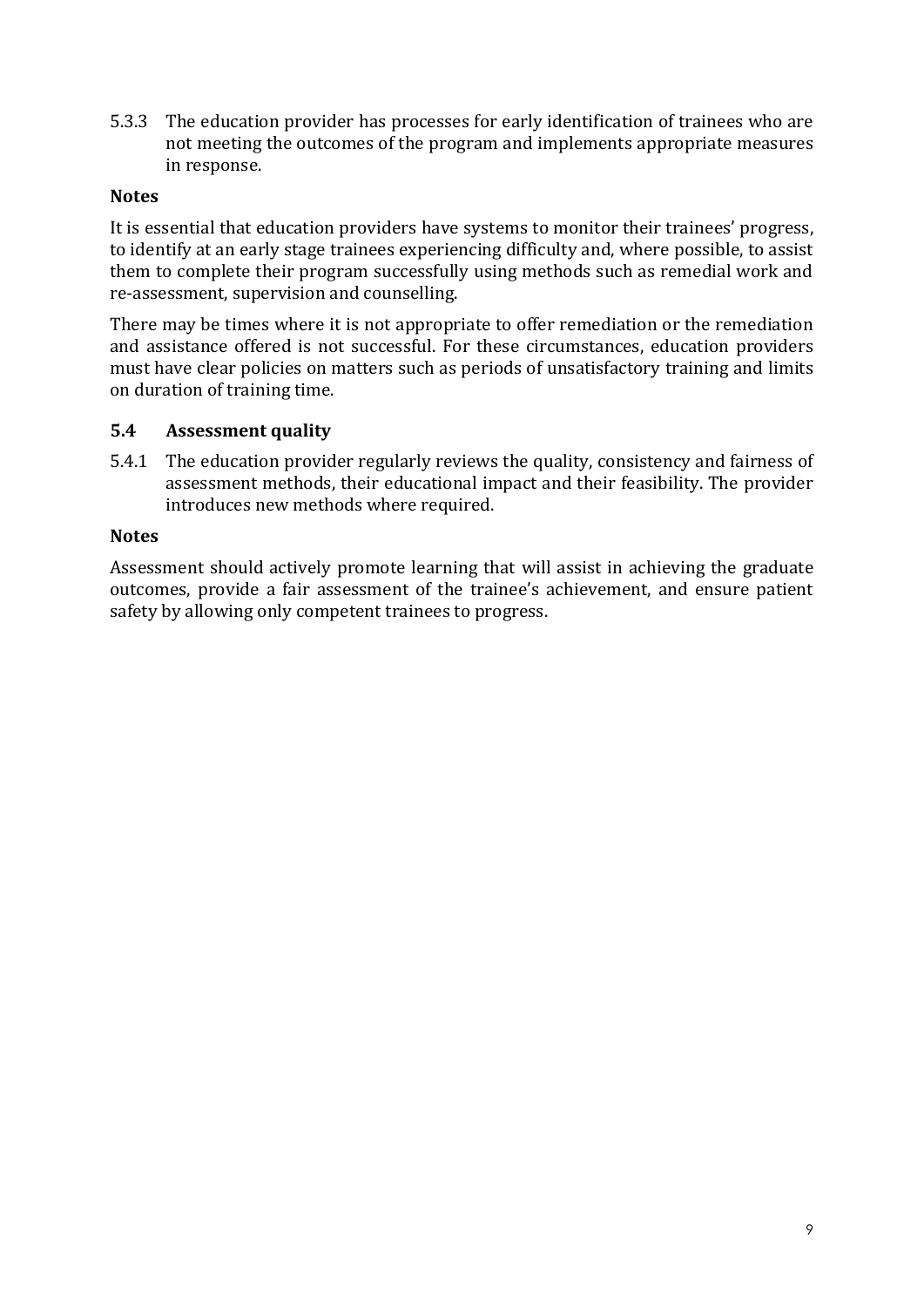5.3.3 The education provider has processes for early identification of trainees who are not meeting the outcomes of the program and implements appropriate measures in response.

#### **Notes**

It is essential that education providers have systems to monitor their trainees' progress, to identify at an early stage trainees experiencing difficulty and, where possible, to assist them to complete their program successfully using methods such as remedial work and re-assessment, supervision and counselling.

There may be times where it is not appropriate to offer remediation or the remediation and assistance offered is not successful. For these circumstances, education providers must have clear policies on matters such as periods of unsatisfactory training and limits on duration of training time.

#### **5.4 Assessment quality**

5.4.1 The education provider regularly reviews the quality, consistency and fairness of assessment methods, their educational impact and their feasibility. The provider introduces new methods where required.

#### **Notes**

Assessment should actively promote learning that will assist in achieving the graduate outcomes, provide a fair assessment of the trainee's achievement, and ensure patient safety by allowing only competent trainees to progress.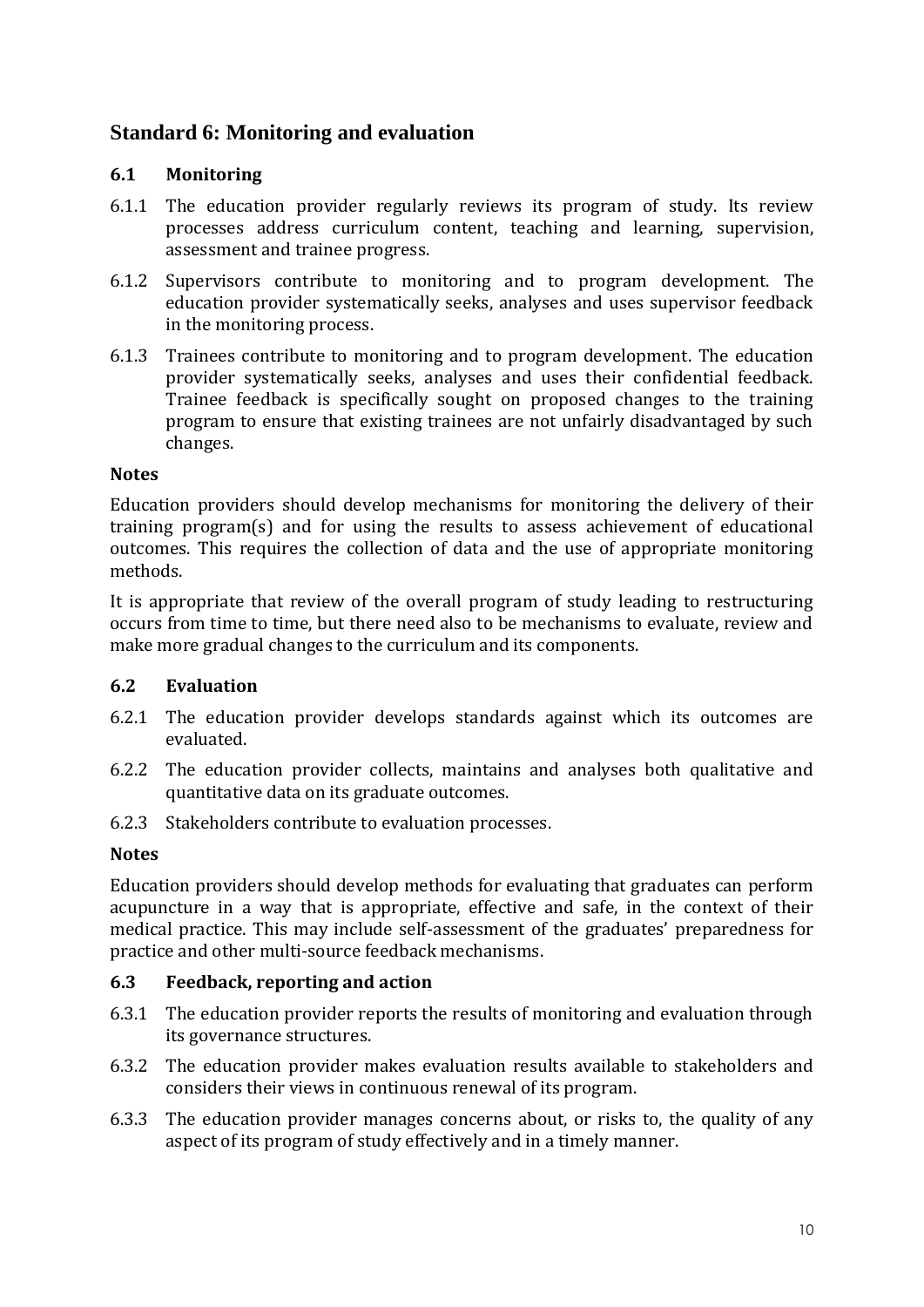# <span id="page-13-0"></span>**Standard 6: Monitoring and evaluation**

## **6.1 Monitoring**

- 6.1.1 The education provider regularly reviews its program of study. Its review processes address curriculum content, teaching and learning, supervision, assessment and trainee progress.
- 6.1.2 Supervisors contribute to monitoring and to program development. The education provider systematically seeks, analyses and uses supervisor feedback in the monitoring process.
- 6.1.3 Trainees contribute to monitoring and to program development. The education provider systematically seeks, analyses and uses their confidential feedback. Trainee feedback is specifically sought on proposed changes to the training program to ensure that existing trainees are not unfairly disadvantaged by such changes.

#### **Notes**

Education providers should develop mechanisms for monitoring the delivery of their training program(s) and for using the results to assess achievement of educational outcomes. This requires the collection of data and the use of appropriate monitoring methods.

It is appropriate that review of the overall program of study leading to restructuring occurs from time to time, but there need also to be mechanisms to evaluate, review and make more gradual changes to the curriculum and its components.

## **6.2 Evaluation**

- 6.2.1 The education provider develops standards against which its outcomes are evaluated.
- 6.2.2 The education provider collects, maintains and analyses both qualitative and quantitative data on its graduate outcomes.
- 6.2.3 Stakeholders contribute to evaluation processes.

#### **Notes**

Education providers should develop methods for evaluating that graduates can perform acupuncture in a way that is appropriate, effective and safe, in the context of their medical practice. This may include self-assessment of the graduates' preparedness for practice and other multi-source feedback mechanisms.

#### **6.3 Feedback, reporting and action**

- 6.3.1 The education provider reports the results of monitoring and evaluation through its governance structures.
- 6.3.2 The education provider makes evaluation results available to stakeholders and considers their views in continuous renewal of its program.
- 6.3.3 The education provider manages concerns about, or risks to, the quality of any aspect of its program of study effectively and in a timely manner.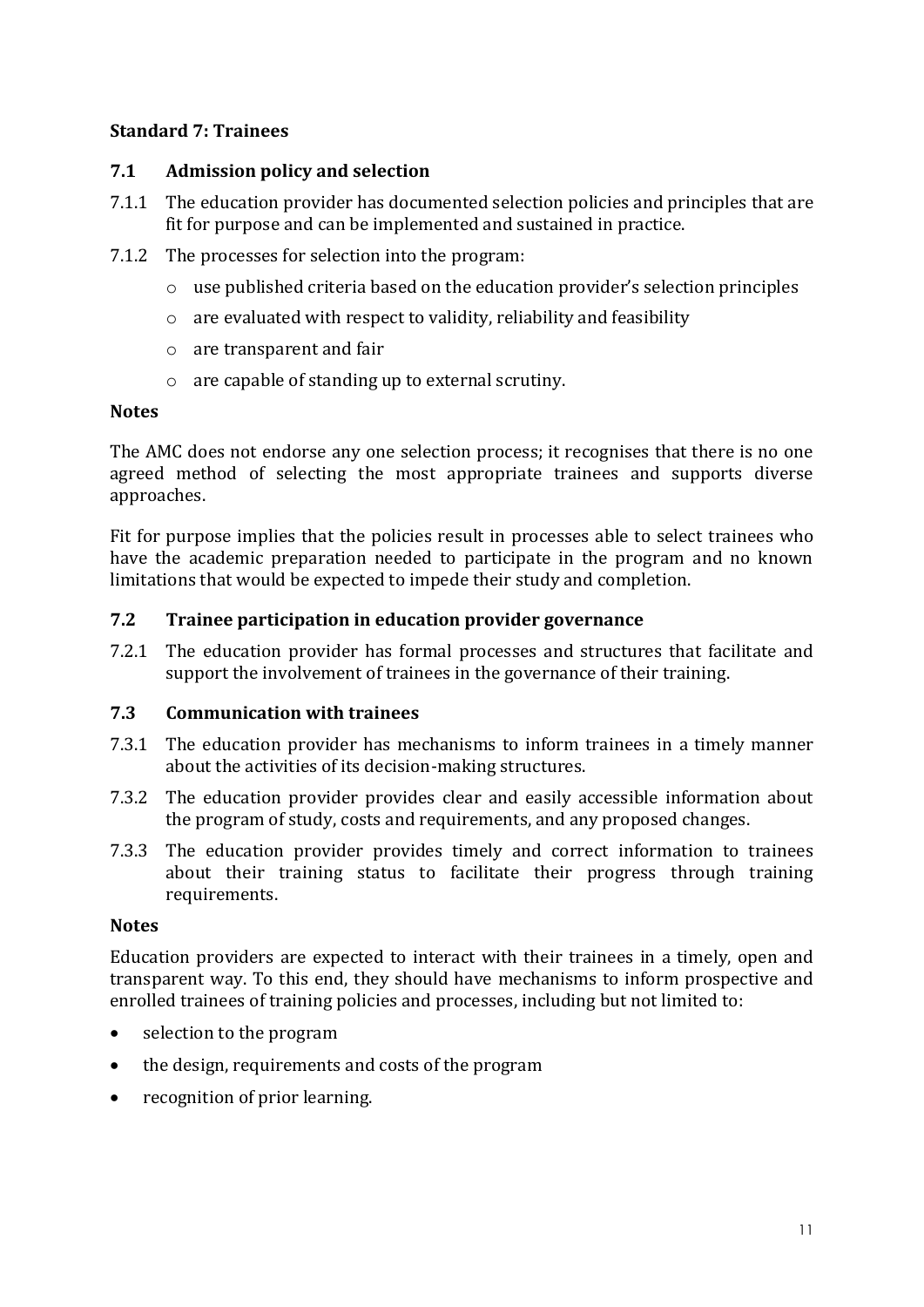# <span id="page-14-0"></span>**Standard 7: Trainees**

# **7.1 Admission policy and selection**

- 7.1.1 The education provider has documented selection policies and principles that are fit for purpose and can be implemented and sustained in practice.
- 7.1.2 The processes for selection into the program:
	- o use published criteria based on the education provider's selection principles
	- $\circ$  are evaluated with respect to validity, reliability and feasibility
	- o are transparent and fair
	- o are capable of standing up to external scrutiny.

## **Notes**

The AMC does not endorse any one selection process; it recognises that there is no one agreed method of selecting the most appropriate trainees and supports diverse approaches.

Fit for purpose implies that the policies result in processes able to select trainees who have the academic preparation needed to participate in the program and no known limitations that would be expected to impede their study and completion.

## **7.2 Trainee participation in education provider governance**

7.2.1 The education provider has formal processes and structures that facilitate and support the involvement of trainees in the governance of their training.

## **7.3 Communication with trainees**

- 7.3.1 The education provider has mechanisms to inform trainees in a timely manner about the activities of its decision-making structures.
- 7.3.2 The education provider provides clear and easily accessible information about the program of study, costs and requirements, and any proposed changes.
- 7.3.3 The education provider provides timely and correct information to trainees about their training status to facilitate their progress through training requirements.

## **Notes**

Education providers are expected to interact with their trainees in a timely, open and transparent way. To this end, they should have mechanisms to inform prospective and enrolled trainees of training policies and processes, including but not limited to:

- selection to the program
- the design, requirements and costs of the program
- recognition of prior learning.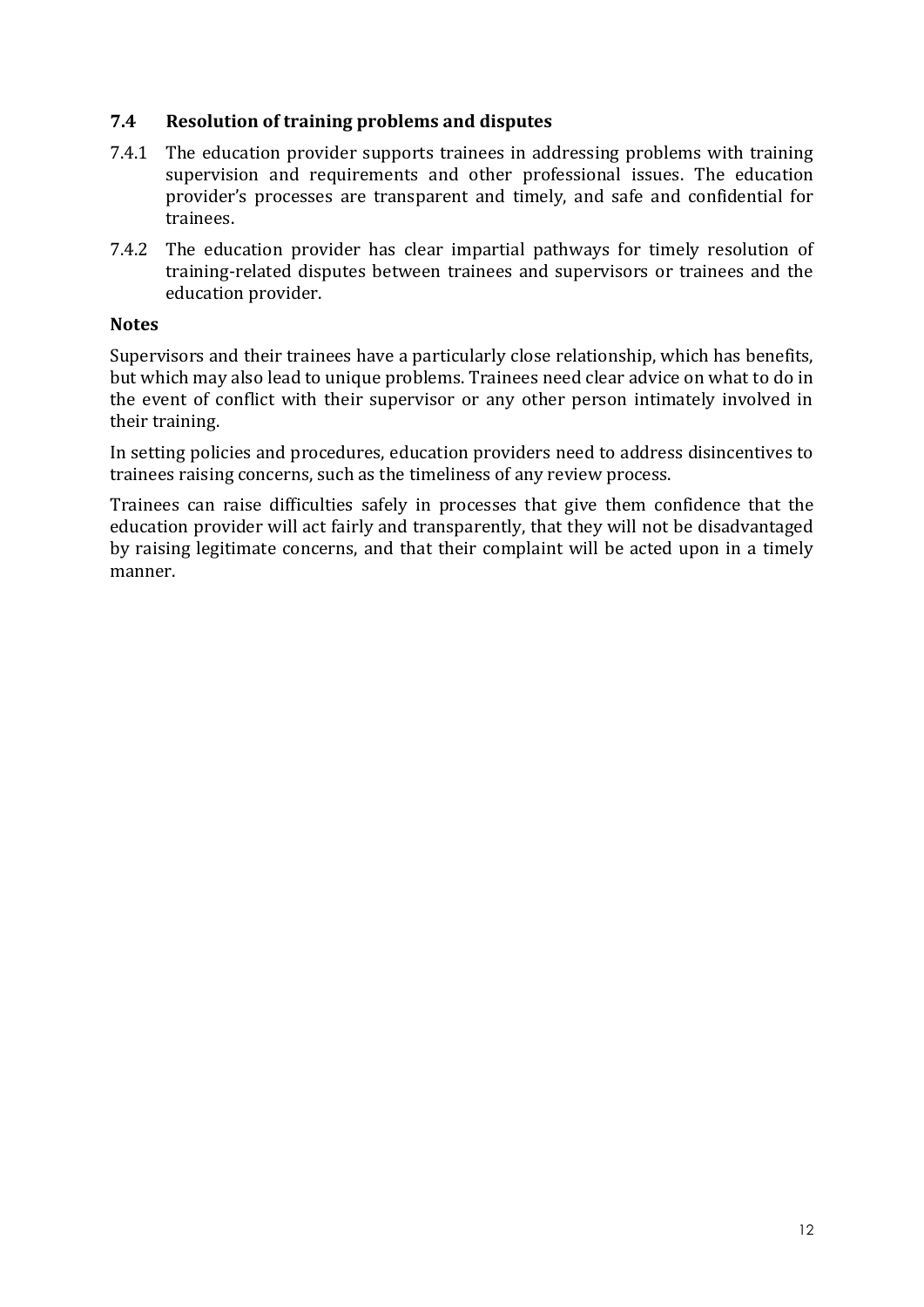#### **7.4 Resolution of training problems and disputes**

- 7.4.1 The education provider supports trainees in addressing problems with training supervision and requirements and other professional issues. The education provider's processes are transparent and timely, and safe and confidential for trainees.
- 7.4.2 The education provider has clear impartial pathways for timely resolution of training-related disputes between trainees and supervisors or trainees and the education provider.

#### **Notes**

Supervisors and their trainees have a particularly close relationship, which has benefits, but which may also lead to unique problems. Trainees need clear advice on what to do in the event of conflict with their supervisor or any other person intimately involved in their training.

In setting policies and procedures, education providers need to address disincentives to trainees raising concerns, such as the timeliness of any review process.

Trainees can raise difficulties safely in processes that give them confidence that the education provider will act fairly and transparently, that they will not be disadvantaged by raising legitimate concerns, and that their complaint will be acted upon in a timely manner.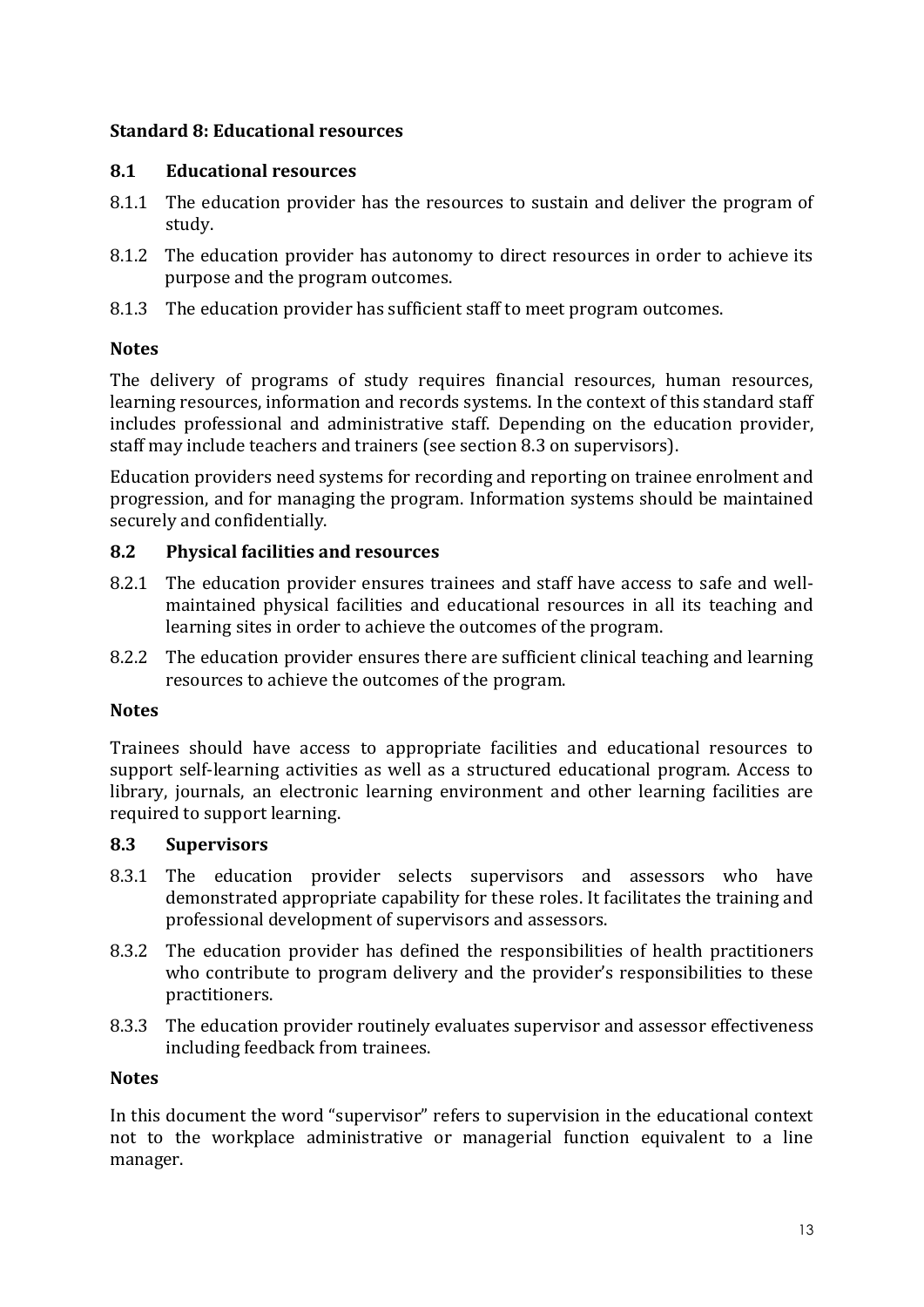## <span id="page-16-0"></span>**Standard 8: Educational resources**

# **8.1 Educational resources**

- 8.1.1 The education provider has the resources to sustain and deliver the program of study.
- 8.1.2 The education provider has autonomy to direct resources in order to achieve its purpose and the program outcomes.
- 8.1.3 The education provider has sufficient staff to meet program outcomes.

# **Notes**

The delivery of programs of study requires financial resources, human resources, learning resources, information and records systems. In the context of this standard staff includes professional and administrative staff. Depending on the education provider, staff may include teachers and trainers (see section 8.3 on supervisors).

Education providers need systems for recording and reporting on trainee enrolment and progression, and for managing the program. Information systems should be maintained securely and confidentially.

# **8.2 Physical facilities and resources**

- 8.2.1 The education provider ensures trainees and staff have access to safe and wellmaintained physical facilities and educational resources in all its teaching and learning sites in order to achieve the outcomes of the program.
- 8.2.2 The education provider ensures there are sufficient clinical teaching and learning resources to achieve the outcomes of the program.

## **Notes**

Trainees should have access to appropriate facilities and educational resources to support self-learning activities as well as a structured educational program. Access to library, journals, an electronic learning environment and other learning facilities are required to support learning.

## **8.3 Supervisors**

- 8.3.1 The education provider selects supervisors and assessors who have demonstrated appropriate capability for these roles. It facilitates the training and professional development of supervisors and assessors.
- 8.3.2 The education provider has defined the responsibilities of health practitioners who contribute to program delivery and the provider's responsibilities to these practitioners.
- 8.3.3 The education provider routinely evaluates supervisor and assessor effectiveness including feedback from trainees.

## **Notes**

In this document the word "supervisor" refers to supervision in the educational context not to the workplace administrative or managerial function equivalent to a line manager.